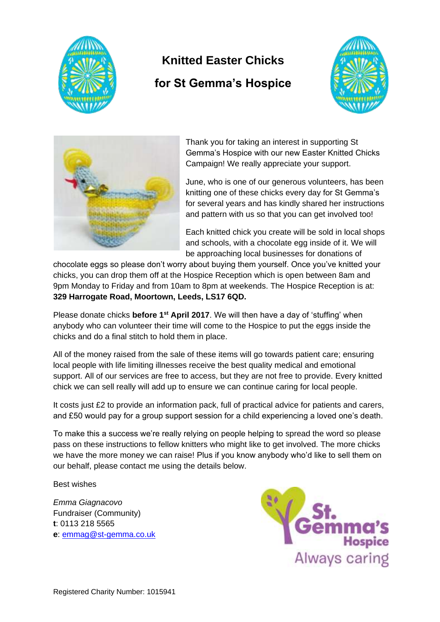

# **Knitted Easter Chicks**

# **for St Gemma's Hospice**





Thank you for taking an interest in supporting St Gemma's Hospice with our new Easter Knitted Chicks Campaign! We really appreciate your support.

June, who is one of our generous volunteers, has been knitting one of these chicks every day for St Gemma's for several years and has kindly shared her instructions and pattern with us so that you can get involved too!

Each knitted chick you create will be sold in local shops and schools, with a chocolate egg inside of it. We will be approaching local businesses for donations of

chocolate eggs so please don't worry about buying them yourself. Once you've knitted your chicks, you can drop them off at the Hospice Reception which is open between 8am and 9pm Monday to Friday and from 10am to 8pm at weekends. The Hospice Reception is at: **329 Harrogate Road, Moortown, Leeds, LS17 6QD.** 

Please donate chicks **before 1st April 2017**. We will then have a day of 'stuffing' when anybody who can volunteer their time will come to the Hospice to put the eggs inside the chicks and do a final stitch to hold them in place.

All of the money raised from the sale of these items will go towards patient care; ensuring local people with life limiting illnesses receive the best quality medical and emotional support. All of our services are free to access, but they are not free to provide. Every knitted chick we can sell really will add up to ensure we can continue caring for local people.

It costs just £2 to provide an information pack, full of practical advice for patients and carers, and £50 would pay for a group support session for a child experiencing a loved one's death.

To make this a success we're really relying on people helping to spread the word so please pass on these instructions to fellow knitters who might like to get involved. The more chicks we have the more money we can raise! Plus if you know anybody who'd like to sell them on our behalf, please contact me using the details below.

Best wishes

*Emma Giagnacovo* Fundraiser (Community) **t**: 0113 218 5565 **e**: [emmag@st-gemma.co.uk](mailto:emmag@st-gemma.co.uk)

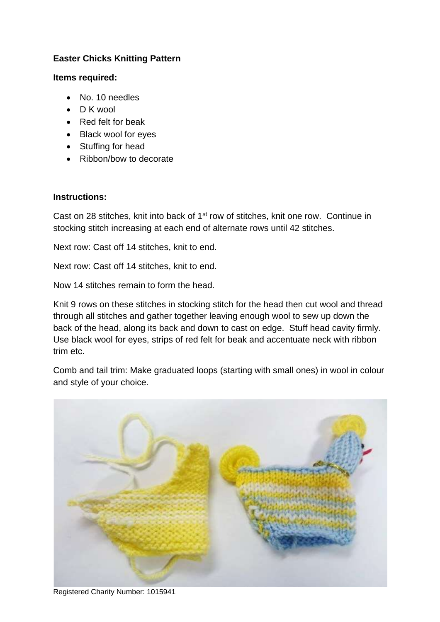## **Easter Chicks Knitting Pattern**

### **Items required:**

- No. 10 needles
- D K wool
- Red felt for beak
- Black wool for eyes
- Stuffing for head
- Ribbon/bow to decorate

### **Instructions:**

Cast on 28 stitches, knit into back of 1<sup>st</sup> row of stitches, knit one row. Continue in stocking stitch increasing at each end of alternate rows until 42 stitches.

Next row: Cast off 14 stitches, knit to end.

Next row: Cast off 14 stitches, knit to end.

Now 14 stitches remain to form the head.

Knit 9 rows on these stitches in stocking stitch for the head then cut wool and thread through all stitches and gather together leaving enough wool to sew up down the back of the head, along its back and down to cast on edge. Stuff head cavity firmly. Use black wool for eyes, strips of red felt for beak and accentuate neck with ribbon trim etc.

Comb and tail trim: Make graduated loops (starting with small ones) in wool in colour and style of your choice.



Registered Charity Number: 1015941